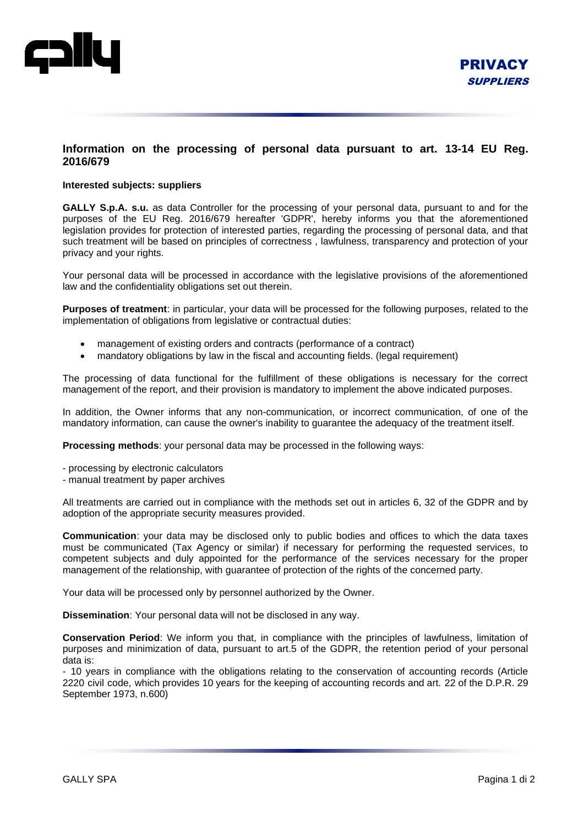

## **Information on the processing of personal data pursuant to art. 13-14 EU Reg. 2016/679**

## **Interested subjects: suppliers**

**GALLY S.p.A. s.u.** as data Controller for the processing of your personal data, pursuant to and for the purposes of the EU Reg. 2016/679 hereafter 'GDPR', hereby informs you that the aforementioned legislation provides for protection of interested parties, regarding the processing of personal data, and that such treatment will be based on principles of correctness , lawfulness, transparency and protection of your privacy and your rights.

Your personal data will be processed in accordance with the legislative provisions of the aforementioned law and the confidentiality obligations set out therein.

**Purposes of treatment**: in particular, your data will be processed for the following purposes, related to the implementation of obligations from legislative or contractual duties:

- management of existing orders and contracts (performance of a contract)
- mandatory obligations by law in the fiscal and accounting fields. (legal requirement)

The processing of data functional for the fulfillment of these obligations is necessary for the correct management of the report, and their provision is mandatory to implement the above indicated purposes.

In addition, the Owner informs that any non-communication, or incorrect communication, of one of the mandatory information, can cause the owner's inability to guarantee the adequacy of the treatment itself.

**Processing methods**: your personal data may be processed in the following ways:

- processing by electronic calculators
- manual treatment by paper archives

All treatments are carried out in compliance with the methods set out in articles 6, 32 of the GDPR and by adoption of the appropriate security measures provided.

**Communication**: your data may be disclosed only to public bodies and offices to which the data taxes must be communicated (Tax Agency or similar) if necessary for performing the requested services, to competent subjects and duly appointed for the performance of the services necessary for the proper management of the relationship, with guarantee of protection of the rights of the concerned party.

Your data will be processed only by personnel authorized by the Owner.

**Dissemination**: Your personal data will not be disclosed in any way.

**Conservation Period**: We inform you that, in compliance with the principles of lawfulness, limitation of purposes and minimization of data, pursuant to art.5 of the GDPR, the retention period of your personal data is:

- 10 years in compliance with the obligations relating to the conservation of accounting records (Article 2220 civil code, which provides 10 years for the keeping of accounting records and art. 22 of the D.P.R. 29 September 1973, n.600)